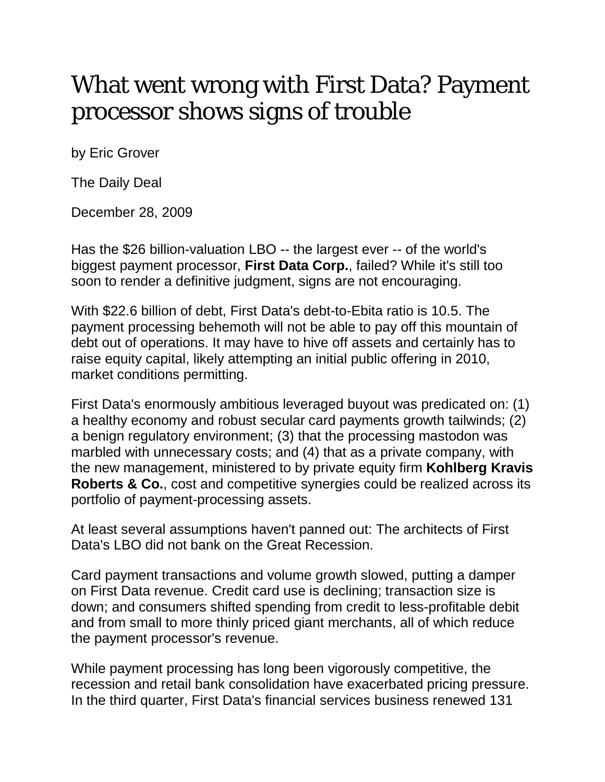## What went wrong with First Data? Payment processor shows signs of trouble

by Eric Grover

The Daily Deal

December 28, 2009

Has the \$26 billion-valuation LBO -- the largest ever -- of the world's biggest payment processor, **First Data Corp.**, failed? While it's still too soon to render a definitive judgment, signs are not encouraging.

With \$22.6 billion of debt, First Data's debt-to-Ebita ratio is 10.5. The payment processing behemoth will not be able to pay off this mountain of debt out of operations. It may have to hive off assets and certainly has to raise equity capital, likely attempting an initial public offering in 2010, market conditions permitting.

First Data's enormously ambitious leveraged buyout was predicated on: (1) a healthy economy and robust secular card payments growth tailwinds; (2) a benign regulatory environment; (3) that the processing mastodon was marbled with unnecessary costs; and (4) that as a private company, with the new management, ministered to by private equity firm **Kohlberg Kravis Roberts & Co.**, cost and competitive synergies could be realized across its portfolio of payment-processing assets.

At least several assumptions haven't panned out: The architects of First Data's LBO did not bank on the Great Recession.

Card payment transactions and volume growth slowed, putting a damper on First Data revenue. Credit card use is declining; transaction size is down; and consumers shifted spending from credit to less-profitable debit and from small to more thinly priced giant merchants, all of which reduce the payment processor's revenue.

While payment processing has long been vigorously competitive, the recession and retail bank consolidation have exacerbated pricing pressure. In the third quarter, First Data's financial services business renewed 131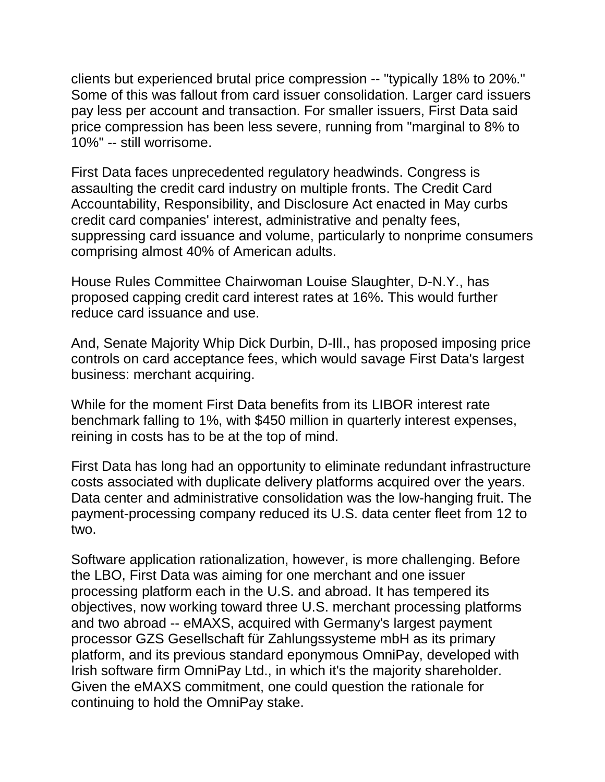clients but experienced brutal price compression -- "typically 18% to 20%." Some of this was fallout from card issuer consolidation. Larger card issuers pay less per account and transaction. For smaller issuers, First Data said price compression has been less severe, running from "marginal to 8% to 10%" -- still worrisome.

First Data faces unprecedented regulatory headwinds. Congress is assaulting the credit card industry on multiple fronts. The Credit Card Accountability, Responsibility, and Disclosure Act enacted in May curbs credit card companies' interest, administrative and penalty fees, suppressing card issuance and volume, particularly to nonprime consumers comprising almost 40% of American adults.

House Rules Committee Chairwoman Louise Slaughter, D-N.Y., has proposed capping credit card interest rates at 16%. This would further reduce card issuance and use.

And, Senate Majority Whip Dick Durbin, D-Ill., has proposed imposing price controls on card acceptance fees, which would savage First Data's largest business: merchant acquiring.

While for the moment First Data benefits from its LIBOR interest rate benchmark falling to 1%, with \$450 million in quarterly interest expenses, reining in costs has to be at the top of mind.

First Data has long had an opportunity to eliminate redundant infrastructure costs associated with duplicate delivery platforms acquired over the years. Data center and administrative consolidation was the low-hanging fruit. The payment-processing company reduced its U.S. data center fleet from 12 to two.

Software application rationalization, however, is more challenging. Before the LBO, First Data was aiming for one merchant and one issuer processing platform each in the U.S. and abroad. It has tempered its objectives, now working toward three U.S. merchant processing platforms and two abroad -- eMAXS, acquired with Germany's largest payment processor GZS Gesellschaft für Zahlungssysteme mbH as its primary platform, and its previous standard eponymous OmniPay, developed with Irish software firm OmniPay Ltd., in which it's the majority shareholder. Given the eMAXS commitment, one could question the rationale for continuing to hold the OmniPay stake.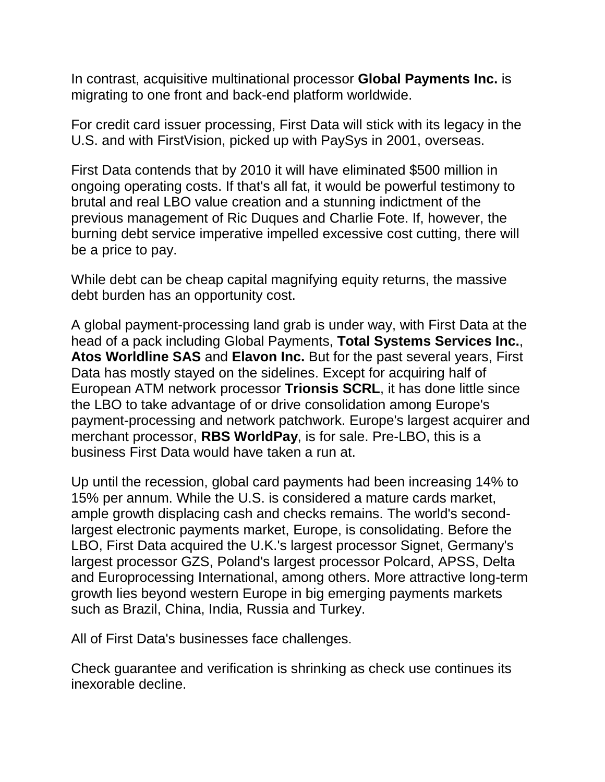In contrast, acquisitive multinational processor **Global Payments Inc.** is migrating to one front and back-end platform worldwide.

For credit card issuer processing, First Data will stick with its legacy in the U.S. and with FirstVision, picked up with PaySys in 2001, overseas.

First Data contends that by 2010 it will have eliminated \$500 million in ongoing operating costs. If that's all fat, it would be powerful testimony to brutal and real LBO value creation and a stunning indictment of the previous management of Ric Duques and Charlie Fote. If, however, the burning debt service imperative impelled excessive cost cutting, there will be a price to pay.

While debt can be cheap capital magnifying equity returns, the massive debt burden has an opportunity cost.

A global payment-processing land grab is under way, with First Data at the head of a pack including Global Payments, **Total Systems Services Inc.**, **Atos Worldline SAS** and **Elavon Inc.** But for the past several years, First Data has mostly stayed on the sidelines. Except for acquiring half of European ATM network processor **Trionsis SCRL**, it has done little since the LBO to take advantage of or drive consolidation among Europe's payment-processing and network patchwork. Europe's largest acquirer and merchant processor, **RBS WorldPay**, is for sale. Pre-LBO, this is a business First Data would have taken a run at.

Up until the recession, global card payments had been increasing 14% to 15% per annum. While the U.S. is considered a mature cards market, ample growth displacing cash and checks remains. The world's secondlargest electronic payments market, Europe, is consolidating. Before the LBO, First Data acquired the U.K.'s largest processor Signet, Germany's largest processor GZS, Poland's largest processor Polcard, APSS, Delta and Europrocessing International, among others. More attractive long-term growth lies beyond western Europe in big emerging payments markets such as Brazil, China, India, Russia and Turkey.

All of First Data's businesses face challenges.

Check guarantee and verification is shrinking as check use continues its inexorable decline.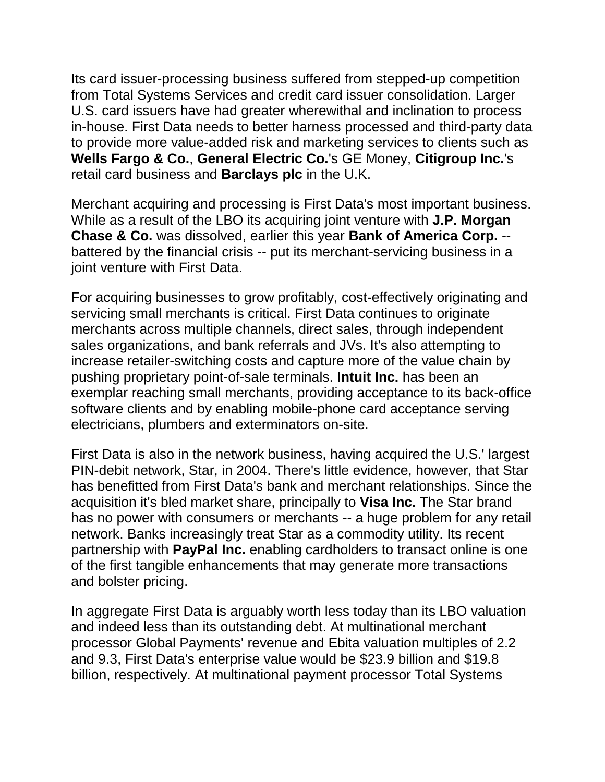Its card issuer-processing business suffered from stepped-up competition from Total Systems Services and credit card issuer consolidation. Larger U.S. card issuers have had greater wherewithal and inclination to process in-house. First Data needs to better harness processed and third-party data to provide more value-added risk and marketing services to clients such as **Wells Fargo & Co.**, **General Electric Co.**'s GE Money, **Citigroup Inc.**'s retail card business and **Barclays plc** in the U.K.

Merchant acquiring and processing is First Data's most important business. While as a result of the LBO its acquiring joint venture with **J.P. Morgan Chase & Co.** was dissolved, earlier this year **Bank of America Corp.** - battered by the financial crisis -- put its merchant-servicing business in a joint venture with First Data.

For acquiring businesses to grow profitably, cost-effectively originating and servicing small merchants is critical. First Data continues to originate merchants across multiple channels, direct sales, through independent sales organizations, and bank referrals and JVs. It's also attempting to increase retailer-switching costs and capture more of the value chain by pushing proprietary point-of-sale terminals. **Intuit Inc.** has been an exemplar reaching small merchants, providing acceptance to its back-office software clients and by enabling mobile-phone card acceptance serving electricians, plumbers and exterminators on-site.

First Data is also in the network business, having acquired the U.S.' largest PIN-debit network, Star, in 2004. There's little evidence, however, that Star has benefitted from First Data's bank and merchant relationships. Since the acquisition it's bled market share, principally to **Visa Inc.** The Star brand has no power with consumers or merchants -- a huge problem for any retail network. Banks increasingly treat Star as a commodity utility. Its recent partnership with **PayPal Inc.** enabling cardholders to transact online is one of the first tangible enhancements that may generate more transactions and bolster pricing.

In aggregate First Data is arguably worth less today than its LBO valuation and indeed less than its outstanding debt. At multinational merchant processor Global Payments' revenue and Ebita valuation multiples of 2.2 and 9.3, First Data's enterprise value would be \$23.9 billion and \$19.8 billion, respectively. At multinational payment processor Total Systems